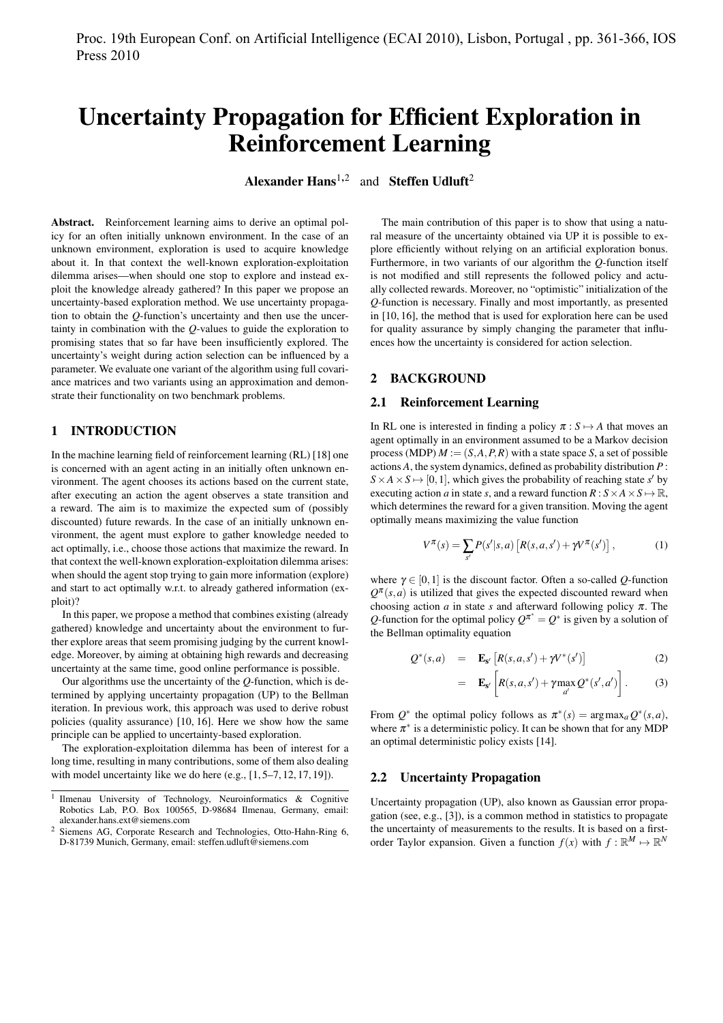# Uncertainty Propagation for Efficient Exploration in Reinforcement Learning

Alexander  $\text{Hans}^{1,2}$  and Steffen Udluft<sup>2</sup>

Abstract. Reinforcement learning aims to derive an optimal policy for an often initially unknown environment. In the case of an unknown environment, exploration is used to acquire knowledge about it. In that context the well-known exploration-exploitation dilemma arises—when should one stop to explore and instead exploit the knowledge already gathered? In this paper we propose an uncertainty-based exploration method. We use uncertainty propagation to obtain the *Q*-function's uncertainty and then use the uncertainty in combination with the *Q*-values to guide the exploration to promising states that so far have been insufficiently explored. The uncertainty's weight during action selection can be influenced by a parameter. We evaluate one variant of the algorithm using full covariance matrices and two variants using an approximation and demonstrate their functionality on two benchmark problems.

# 1 INTRODUCTION

In the machine learning field of reinforcement learning (RL) [18] one is concerned with an agent acting in an initially often unknown environment. The agent chooses its actions based on the current state, after executing an action the agent observes a state transition and a reward. The aim is to maximize the expected sum of (possibly discounted) future rewards. In the case of an initially unknown environment, the agent must explore to gather knowledge needed to act optimally, i.e., choose those actions that maximize the reward. In that context the well-known exploration-exploitation dilemma arises: when should the agent stop trying to gain more information (explore) and start to act optimally w.r.t. to already gathered information (exploit)?

In this paper, we propose a method that combines existing (already gathered) knowledge and uncertainty about the environment to further explore areas that seem promising judging by the current knowledge. Moreover, by aiming at obtaining high rewards and decreasing uncertainty at the same time, good online performance is possible.

Our algorithms use the uncertainty of the *Q*-function, which is determined by applying uncertainty propagation (UP) to the Bellman iteration. In previous work, this approach was used to derive robust policies (quality assurance) [10, 16]. Here we show how the same principle can be applied to uncertainty-based exploration.

The exploration-exploitation dilemma has been of interest for a long time, resulting in many contributions, some of them also dealing with model uncertainty like we do here (e.g., [1, 5–7, 12, 17, 19]).

The main contribution of this paper is to show that using a natural measure of the uncertainty obtained via UP it is possible to explore efficiently without relying on an artificial exploration bonus. Furthermore, in two variants of our algorithm the *Q*-function itself is not modified and still represents the followed policy and actually collected rewards. Moreover, no "optimistic" initialization of the *Q*-function is necessary. Finally and most importantly, as presented in [10, 16], the method that is used for exploration here can be used for quality assurance by simply changing the parameter that influences how the uncertainty is considered for action selection.

## 2 BACKGROUND

#### 2.1 Reinforcement Learning

In RL one is interested in finding a policy  $\pi : S \mapsto A$  that moves an agent optimally in an environment assumed to be a Markov decision process (MDP)  $M := (S, A, P, R)$  with a state space *S*, a set of possible actions *A*, the system dynamics, defined as probability distribution *P* :  $S \times A \times S \mapsto [0, 1]$ , which gives the probability of reaching state *s*<sup> $\prime$ </sup> by executing action *a* in state *s*, and a reward function  $R: S \times A \times S \mapsto \mathbb{R}$ , which determines the reward for a given transition. Moving the agent optimally means maximizing the value function

$$
V^{\pi}(s) = \sum_{s'} P(s'|s, a) [R(s, a, s') + \gamma V^{\pi}(s')] , \qquad (1)
$$

where  $\gamma \in [0,1]$  is the discount factor. Often a so-called *O*-function  $Q^{\pi}(s, a)$  is utilized that gives the expected discounted reward when choosing action *a* in state *s* and afterward following policy  $\pi$ . The *Q*-function for the optimal policy  $Q^{\pi^*} = Q^*$  is given by a solution of the Bellman optimality equation

$$
Q^*(s, a) = \mathbf{E}_{s'} [R(s, a, s') + \gamma V^*(s')]
$$
 (2)

$$
= \mathbf{E}_{\mathbf{s}'}\left[R(s,a,\mathbf{s}') + \gamma \max_{a'} Q^*(\mathbf{s}',a')\right].
$$
 (3)

From  $Q^*$  the optimal policy follows as  $\pi^*(s) = \argmax_a Q^*(s, a)$ , where  $\pi^*$  is a deterministic policy. It can be shown that for any MDP an optimal deterministic policy exists [14].

## 2.2 Uncertainty Propagation

Uncertainty propagation (UP), also known as Gaussian error propagation (see, e.g., [3]), is a common method in statistics to propagate the uncertainty of measurements to the results. It is based on a firstorder Taylor expansion. Given a function  $f(x)$  with  $f: \mathbb{R}^M \mapsto \mathbb{R}^N$ 

<sup>1</sup> Ilmenau University of Technology, Neuroinformatics & Cognitive Robotics Lab, P.O. Box 100565, D-98684 Ilmenau, Germany, email: alexander.hans.ext@siemens.com

Siemens AG, Corporate Research and Technologies, Otto-Hahn-Ring 6, D-81739 Munich, Germany, email: steffen.udluft@siemens.com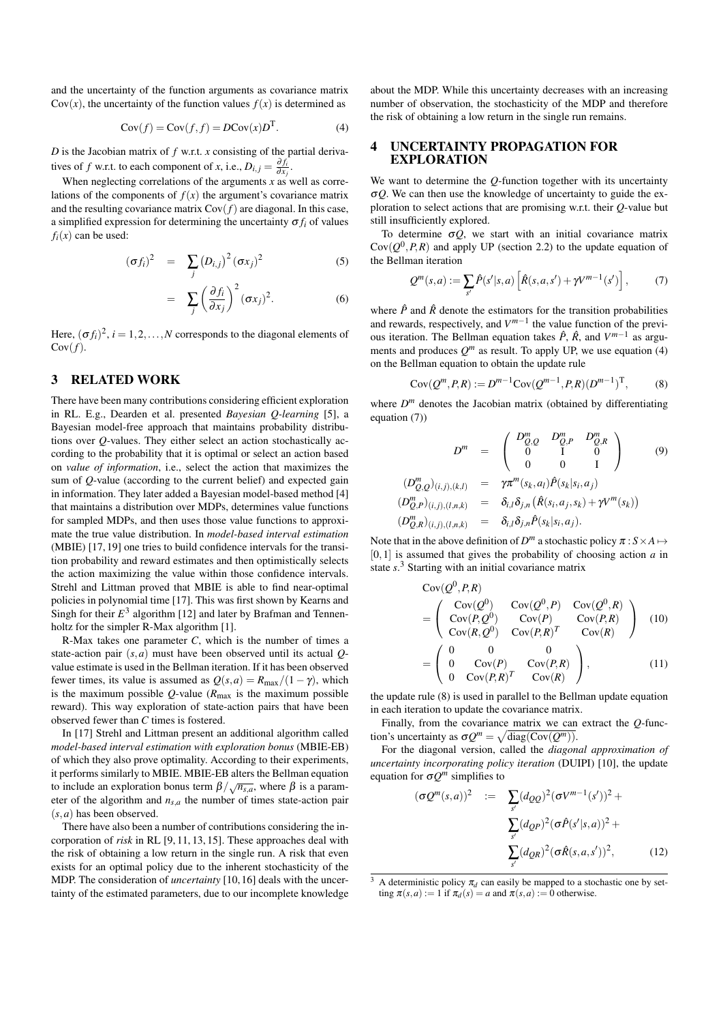and the uncertainty of the function arguments as covariance matrix Cov(*x*), the uncertainty of the function values  $f(x)$  is determined as

$$
Cov(f) = Cov(f, f) = DCov(x)DT.
$$
 (4)

*D* is the Jacobian matrix of *f* w.r.t. *x* consisting of the partial derivatives of *f* w.r.t. to each component of *x*, i.e.,  $D_{i,j} = \frac{\partial f_i}{\partial x_j}$ .

When neglecting correlations of the arguments  $\vec{x}$  as well as correlations of the components of  $f(x)$  the argument's covariance matrix and the resulting covariance matrix  $Cov(f)$  are diagonal. In this case, a simplified expression for determining the uncertainty  $\sigma f_i$  of values  $f_i(x)$  can be used:

$$
(\sigma f_i)^2 = \sum_j (D_{i,j})^2 (\sigma x_j)^2 \tag{5}
$$

$$
= \sum_{j} \left( \frac{\partial f_i}{\partial x_j} \right)^2 (\sigma x_j)^2. \tag{6}
$$

Here,  $(\sigma f_i)^2$ ,  $i = 1, 2, ..., N$  corresponds to the diagonal elements of  $Cov(f)$ .

# 3 RELATED WORK

There have been many contributions considering efficient exploration in RL. E.g., Dearden et al. presented *Bayesian Q-learning* [5], a Bayesian model-free approach that maintains probability distributions over *Q*-values. They either select an action stochastically according to the probability that it is optimal or select an action based on *value of information*, i.e., select the action that maximizes the sum of *Q*-value (according to the current belief) and expected gain in information. They later added a Bayesian model-based method [4] that maintains a distribution over MDPs, determines value functions for sampled MDPs, and then uses those value functions to approximate the true value distribution. In *model-based interval estimation* (MBIE) [17, 19] one tries to build confidence intervals for the transition probability and reward estimates and then optimistically selects the action maximizing the value within those confidence intervals. Strehl and Littman proved that MBIE is able to find near-optimal policies in polynomial time [17]. This was first shown by Kearns and Singh for their  $E^3$  algorithm [12] and later by Brafman and Tennenholtz for the simpler R-Max algorithm [1].

R-Max takes one parameter *C*, which is the number of times a state-action pair (*s*,*a*) must have been observed until its actual *Q*value estimate is used in the Bellman iteration. If it has been observed fewer times, its value is assumed as  $Q(s, a) = R_{\text{max}}/(1 - \gamma)$ , which is the maximum possible  $Q$ -value ( $R_{\text{max}}$  is the maximum possible reward). This way exploration of state-action pairs that have been observed fewer than *C* times is fostered.

In [17] Strehl and Littman present an additional algorithm called *model-based interval estimation with exploration bonus* (MBIE-EB) of which they also prove optimality. According to their experiments, it performs similarly to MBIE. MBIE-EB alters the Bellman equation to include an exploration bonus term  $\beta/\sqrt{n_{s,a}}$ , where  $\beta$  is a parameter of the algorithm and *ns*,*<sup>a</sup>* the number of times state-action pair (*s*,*a*) has been observed.

There have also been a number of contributions considering the incorporation of *risk* in RL [9, 11, 13, 15]. These approaches deal with the risk of obtaining a low return in the single run. A risk that even exists for an optimal policy due to the inherent stochasticity of the MDP. The consideration of *uncertainty* [10, 16] deals with the uncertainty of the estimated parameters, due to our incomplete knowledge

about the MDP. While this uncertainty decreases with an increasing number of observation, the stochasticity of the MDP and therefore the risk of obtaining a low return in the single run remains.

## 4 UNCERTAINTY PROPAGATION FOR EXPLORATION

We want to determine the *Q*-function together with its uncertainty σ*Q*. We can then use the knowledge of uncertainty to guide the exploration to select actions that are promising w.r.t. their *Q*-value but still insufficiently explored.

To determine  $\sigma Q$ , we start with an initial covariance matrix  $Cov(Q^0, P, R)$  and apply UP (section 2.2) to the update equation of the Bellman iteration

$$
Q^{m}(s,a) := \sum_{s'} \hat{P}(s'|s,a) \left[ \hat{R}(s,a,s') + \gamma V^{m-1}(s') \right],
$$
 (7)

where  $\hat{P}$  and  $\hat{R}$  denote the estimators for the transition probabilities and rewards, respectively, and  $V^{m-1}$  the value function of the previous iteration. The Bellman equation takes  $\hat{P}$ ,  $\hat{R}$ , and  $V^{m-1}$  as arguments and produces  $Q^m$  as result. To apply UP, we use equation (4) on the Bellman equation to obtain the update rule

$$
Cov(Q^m, P, R) := D^{m-1}Cov(Q^{m-1}, P, R)(D^{m-1})^T, \qquad (8)
$$

where  $D^m$  denotes the Jacobian matrix (obtained by differentiating equation (7))

$$
D^{m} = \begin{pmatrix} D_{Q,Q}^{m} & D_{Q,R}^{m} & D_{Q,R}^{m} \\ 0 & 1 & 0 \\ 0 & 0 & 1 \end{pmatrix}
$$
 (9)  

$$
(D_{Q,Q}^{m})_{(i,j),(k,l)} = \gamma \pi^{m}(s_{k}, a_{l}) \hat{P}(s_{k}|s_{i}, a_{j})
$$
  

$$
(D_{Q,P}^{m})_{(i,j),(l,n,k)} = \delta_{i,l} \delta_{j,n} (\hat{R}(s_{i}, a_{j}, s_{k}) + \gamma V^{m}(s_{k}))
$$
  

$$
(D_{Q,R}^{m})_{(i,j),(l,n,k)} = \delta_{i,l} \delta_{j,n} \hat{P}(s_{k}|s_{i}, a_{j}).
$$

Note that in the above definition of  $D^m$  a stochastic policy  $\pi : S \times A \mapsto$  $[0,1]$  is assumed that gives the probability of choosing action  $a$  in state *s*. <sup>3</sup> Starting with an initial covariance matrix

$$
Cov(Q^{0}, P, R)
$$
\n
$$
= \begin{pmatrix}\nCov(Q^{0}) & Cov(Q^{0}, P) & Cov(Q^{0}, R) \\
Cov(P, Q^{0}) & Cov(P) & Cov(P, R) \\
Cov(R, Q^{0}) & Cov(P, R)^{T} & Cov(R)\n\end{pmatrix}
$$
\n
$$
= \begin{pmatrix}\n0 & 0 & 0 \\
0 & Cov(P) & Cov(P, R) \\
0 & Cov(P, R)^{T} & Cov(R)\n\end{pmatrix},
$$
\n(11)

the update rule (8) is used in parallel to the Bellman update equation in each iteration to update the covariance matrix.

Finally, from the covariance matrix we can extract the *Q*-function's uncertainty as  $\sigma Q^m = \sqrt{\text{diag}(\text{Cov}(Q^m))}$ .

For the diagonal version, called the *diagonal approximation of uncertainty incorporating policy iteration* (DUIPI) [10], the update equation for  $\sigma Q^m$  simplifies to

$$
(\sigma Q^{m}(s, a))^{2} := \sum_{s'} (d_{QQ})^{2} (\sigma V^{m-1}(s'))^{2} + \sum_{s'} (d_{QP})^{2} (\sigma \hat{P}(s'|s, a))^{2} + \sum_{s'} (d_{QR})^{2} (\sigma \hat{R}(s, a, s'))^{2},
$$
 (12)

<sup>&</sup>lt;sup>3</sup> A deterministic policy  $\pi_d$  can easily be mapped to a stochastic one by setting  $\pi(s, a) := 1$  if  $\pi_d(s) = a$  and  $\pi(s, a) := 0$  otherwise.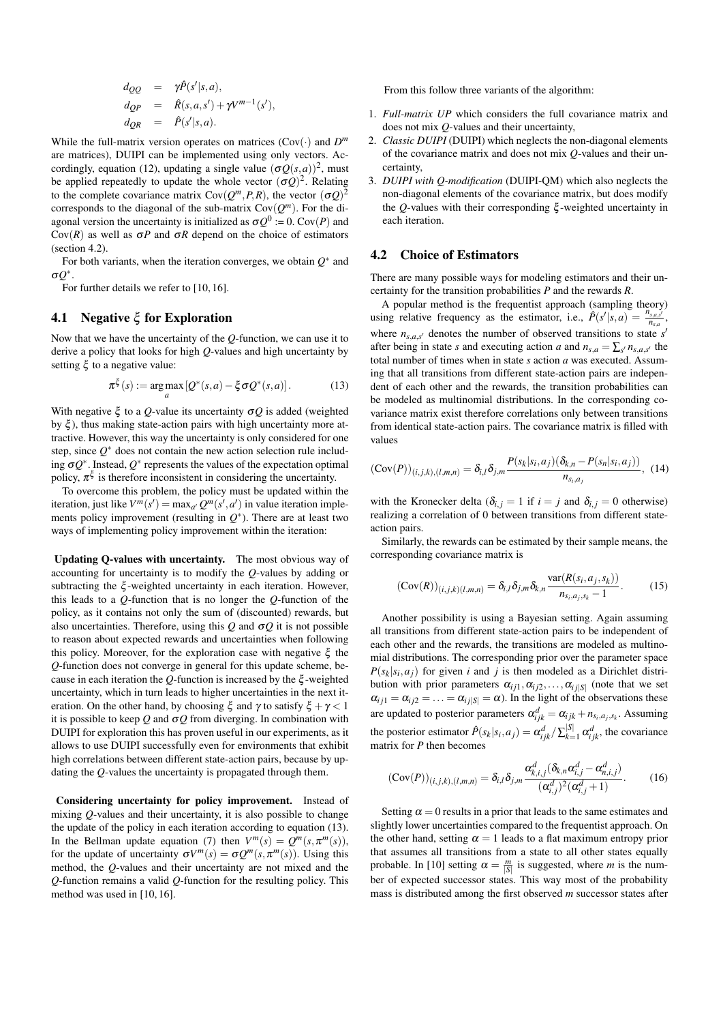$$
d_{QQ} = \gamma \hat{P}(s'|s,a),
$$
  
\n
$$
d_{QP} = \hat{R}(s,a,s') + \gamma V^{m-1}(s'),
$$
  
\n
$$
d_{QR} = \hat{P}(s'|s,a).
$$

While the full-matrix version operates on matrices ( $Cov(\cdot)$  and  $D^m$ are matrices), DUIPI can be implemented using only vectors. Accordingly, equation (12), updating a single value  $(\sigma Q(s, a))^2$ , must be applied repeatedly to update the whole vector  $(\sigma Q)^2$ . Relating to the complete covariance matrix  $Cov(Q^m, P, R)$ , the vector  $(\sigma Q)^2$ corresponds to the diagonal of the sub-matrix  $Cov(Q^m)$ . For the diagonal version the uncertainty is initialized as  $\sigma Q^0 := 0$ . Cov(P) and Cov( $R$ ) as well as  $\sigma P$  and  $\sigma R$  depend on the choice of estimators (section 4.2).

For both variants, when the iteration converges, we obtain *Q* ∗ and σ*Q* ∗ .

For further details we refer to [10, 16].

## 4.1 Negative ξ for Exploration

Now that we have the uncertainty of the *Q*-function, we can use it to derive a policy that looks for high *Q*-values and high uncertainty by setting ξ to a negative value:

$$
\pi^{\xi}(s) := \underset{a}{\arg\max} \left[ Q^*(s, a) - \xi \sigma Q^*(s, a) \right]. \tag{13}
$$

With negative  $\xi$  to a *Q*-value its uncertainty  $\sigma Q$  is added (weighted by  $\xi$ ), thus making state-action pairs with high uncertainty more attractive. However, this way the uncertainty is only considered for one step, since *Q* ∗ does not contain the new action selection rule including  $\sigma Q^*$ . Instead,  $Q^*$  represents the values of the expectation optimal policy,  $\pi^{\xi}$  is therefore inconsistent in considering the uncertainty.

To overcome this problem, the policy must be updated within the iteration, just like  $V^m(s') = \max_{a'} Q^m(s', a')$  in value iteration implements policy improvement (resulting in  $Q^*$ ). There are at least two ways of implementing policy improvement within the iteration:

Updating Q-values with uncertainty. The most obvious way of accounting for uncertainty is to modify the *Q*-values by adding or subtracting the ξ -weighted uncertainty in each iteration. However, this leads to a *Q*-function that is no longer the *Q*-function of the policy, as it contains not only the sum of (discounted) rewards, but also uncertainties. Therefore, using this  $Q$  and  $\sigma Q$  it is not possible to reason about expected rewards and uncertainties when following this policy. Moreover, for the exploration case with negative  $\xi$  the *Q*-function does not converge in general for this update scheme, because in each iteration the *Q*-function is increased by the ξ -weighted uncertainty, which in turn leads to higher uncertainties in the next iteration. On the other hand, by choosing  $\xi$  and  $\gamma$  to satisfy  $\xi + \gamma < 1$ it is possible to keep  $Q$  and  $\sigma Q$  from diverging. In combination with DUIPI for exploration this has proven useful in our experiments, as it allows to use DUIPI successfully even for environments that exhibit high correlations between different state-action pairs, because by updating the *Q*-values the uncertainty is propagated through them.

Considering uncertainty for policy improvement. Instead of mixing *Q*-values and their uncertainty, it is also possible to change the update of the policy in each iteration according to equation (13). In the Bellman update equation (7) then  $V^m(s) = Q^m(s, \pi^m(s))$ , for the update of uncertainty  $\sigma V^m(s) = \sigma Q^m(s, \pi^m(s))$ . Using this method, the *Q*-values and their uncertainty are not mixed and the *Q*-function remains a valid *Q*-function for the resulting policy. This method was used in [10, 16].

From this follow three variants of the algorithm:

- 1. *Full-matrix UP* which considers the full covariance matrix and does not mix *Q*-values and their uncertainty,
- 2. *Classic DUIPI* (DUIPI) which neglects the non-diagonal elements of the covariance matrix and does not mix *Q*-values and their uncertainty,
- 3. *DUIPI with Q-modification* (DUIPI-QM) which also neglects the non-diagonal elements of the covariance matrix, but does modify the *Q*-values with their corresponding ξ -weighted uncertainty in each iteration.

#### 4.2 Choice of Estimators

There are many possible ways for modeling estimators and their uncertainty for the transition probabilities *P* and the rewards *R*.

A popular method is the frequentist approach (sampling theory) using relative frequency as the estimator, i.e.,  $\hat{P}(s'|s,a) = \frac{n_{s,a,s'}}{n_{s,a}}$ where  $n_{s,a,s'}$  denotes the number of observed transitions to state  $s'$ after being in state *s* and executing action *a* and  $n_{s,a} = \sum_{s'} n_{s,a,s'}$  the total number of times when in state *s* action *a* was executed. Assuming that all transitions from different state-action pairs are independent of each other and the rewards, the transition probabilities can be modeled as multinomial distributions. In the corresponding covariance matrix exist therefore correlations only between transitions from identical state-action pairs. The covariance matrix is filled with values

$$
(\text{Cov}(P))_{(i,j,k),(l,m,n)} = \delta_{i,l}\delta_{j,m} \frac{P(s_k|s_i,a_j)(\delta_{k,n} - P(s_n|s_i,a_j))}{n_{s_i,a_j}}, \quad (14)
$$

with the Kronecker delta ( $\delta_{i,j} = 1$  if  $i = j$  and  $\delta_{i,j} = 0$  otherwise) realizing a correlation of 0 between transitions from different stateaction pairs.

Similarly, the rewards can be estimated by their sample means, the corresponding covariance matrix is

$$
(\text{Cov}(R))_{(i,j,k)(l,m,n)} = \delta_{i,l}\delta_{j,m}\delta_{k,n}\frac{\text{var}(R(s_i,a_j,s_k))}{n_{s_i,a_j,s_k}-1}.
$$
 (15)

Another possibility is using a Bayesian setting. Again assuming all transitions from different state-action pairs to be independent of each other and the rewards, the transitions are modeled as multinomial distributions. The corresponding prior over the parameter space  $P(s_k|s_i, a_j)$  for given *i* and *j* is then modeled as a Dirichlet distribution with prior parameters  $\alpha_{ij1}, \alpha_{ij2}, \dots, \alpha_{ij|S|}$  (note that we set  $\alpha_{ij1} = \alpha_{ij2} = \ldots = \alpha_{ij} |s| = \alpha$ ). In the light of the observations these are updated to posterior parameters  $\alpha_{ijk}^d = \alpha_{ijk} + n_{s_i, a_j, s_k}$ . Assuming the posterior estimator  $\hat{P}(s_k|s_i, a_j) = \alpha_{ijk}^d / \sum_{k=1}^{|S|} \alpha_{ijk}^d$ , the covariance matrix for *P* then becomes

$$
(\text{Cov}(P))_{(i,j,k),(l,m,n)} = \delta_{i,l}\delta_{j,m}\frac{\alpha_{k,i,j}^d(\delta_{k,n}\alpha_{i,j}^d - \alpha_{n,i,j}^d)}{(\alpha_{i,j}^d)^2(\alpha_{i,j}^d + 1)}.
$$
 (16)

Setting  $\alpha = 0$  results in a prior that leads to the same estimates and slightly lower uncertainties compared to the frequentist approach. On the other hand, setting  $\alpha = 1$  leads to a flat maximum entropy prior that assumes all transitions from a state to all other states equally probable. In [10] setting  $\alpha = \frac{m}{|S|}$  is suggested, where *m* is the number of expected successor states. This way most of the probability mass is distributed among the first observed *m* successor states after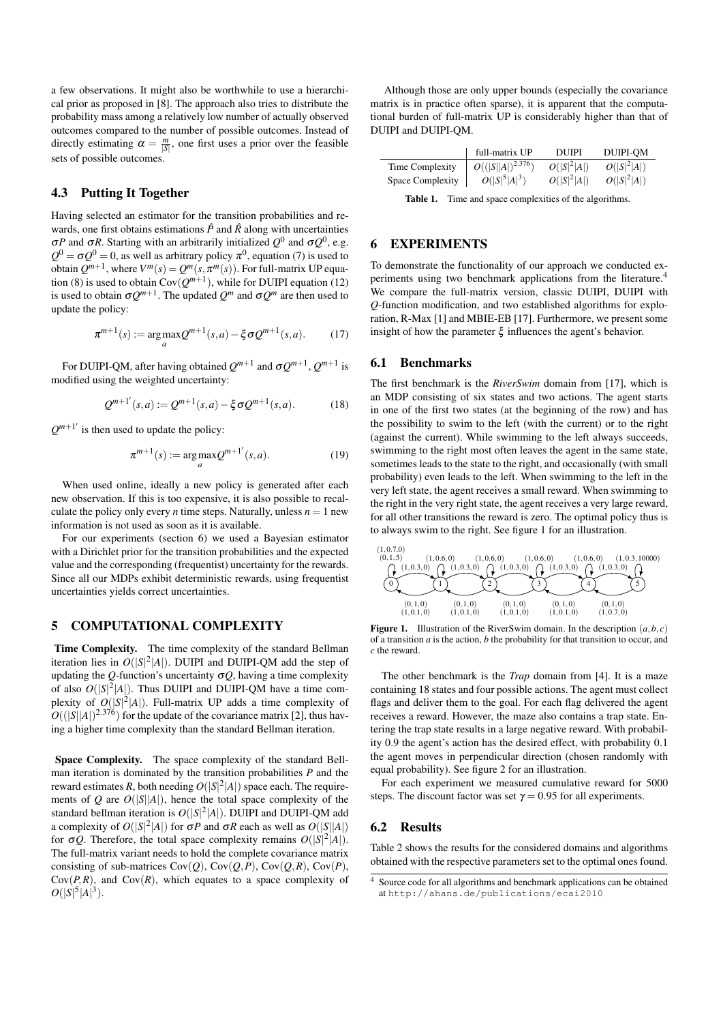a few observations. It might also be worthwhile to use a hierarchical prior as proposed in [8]. The approach also tries to distribute the probability mass among a relatively low number of actually observed outcomes compared to the number of possible outcomes. Instead of directly estimating  $\alpha = \frac{m}{|S|}$ , one first uses a prior over the feasible sets of possible outcomes.

#### 4.3 Putting It Together

Having selected an estimator for the transition probabilities and rewards, one first obtains estimations  $\hat{P}$  and  $\hat{R}$  along with uncertainties σ*P* and σ*R*. Starting with an arbitrarily initialized  $Q^0$  and σ $Q^0$ , e.g.  $Q^0 = \sigma Q^0 = 0$ , as well as arbitrary policy  $\pi^0$ , equation (7) is used to obtain  $Q^{m+1}$ , where  $V^m(s) = Q^m(s, \pi^m(s))$ . For full-matrix UP equation (8) is used to obtain  $\text{Cov}(Q^{m+1})$ , while for DUIPI equation (12) is used to obtain  $\sigma Q^{m+1}$ . The updated  $Q^m$  and  $\sigma Q^m$  are then used to update the policy:

$$
\pi^{m+1}(s) := \underset{a}{\arg \max} Q^{m+1}(s, a) - \xi \sigma Q^{m+1}(s, a). \tag{17}
$$

For DUIPI-QM, after having obtained  $Q^{m+1}$  and  $\sigma Q^{m+1}$ ,  $Q^{m+1}$  is modified using the weighted uncertainty:

$$
Q^{m+1'}(s,a) := Q^{m+1}(s,a) - \xi \sigma Q^{m+1}(s,a). \tag{18}
$$

 $Q^{m+1'}$  is then used to update the policy:

$$
\pi^{m+1}(s) := \underset{a}{\arg \max} Q^{m+1'}(s, a). \tag{19}
$$

When used online, ideally a new policy is generated after each new observation. If this is too expensive, it is also possible to recalculate the policy only every *n* time steps. Naturally, unless  $n = 1$  new information is not used as soon as it is available.

For our experiments (section 6) we used a Bayesian estimator with a Dirichlet prior for the transition probabilities and the expected value and the corresponding (frequentist) uncertainty for the rewards. Since all our MDPs exhibit deterministic rewards, using frequentist uncertainties yields correct uncertainties.

#### 5 COMPUTATIONAL COMPLEXITY

Time Complexity. The time complexity of the standard Bellman iteration lies in  $O(|S|^2|A|)$ . DUIPI and DUIPI-QM add the step of updating the *Q*-function's uncertainty  $\sigma Q$ , having a time complexity of also  $O(|S|^2|A|)$ . Thus DUIPI and DUIPI-QM have a time complexity of  $O(|S|^2|A|)$ . Full-matrix UP adds a time complexity of  $O((|S||A|)^{2.376})$  for the update of the covariance matrix [2], thus having a higher time complexity than the standard Bellman iteration.

Space Complexity. The space complexity of the standard Bellman iteration is dominated by the transition probabilities *P* and the reward estimates *R*, both needing  $O(|S|^2|A|)$  space each. The requirements of *Q* are  $O(|S||A|)$ , hence the total space complexity of the standard bellman iteration is  $O(|S|^2|A|)$ . DUIPI and DUIPI-QM add a complexity of  $O(|S|^2|A|)$  for  $\sigma P$  and  $\sigma R$  each as well as  $O(|S||A|)$ for  $\sigma Q$ . Therefore, the total space complexity remains  $O(|S|^2|A|)$ . The full-matrix variant needs to hold the complete covariance matrix consisting of sub-matrices  $Cov(Q)$ ,  $Cov(Q, P)$ ,  $Cov(Q, R)$ ,  $Cov(P)$ ,  $Cov(P, R)$ , and  $Cov(R)$ , which equates to a space complexity of  $O(|S|^5|A|^3)$ .

Although those are only upper bounds (especially the covariance matrix is in practice often sparse), it is apparent that the computational burden of full-matrix UP is considerably higher than that of DUIPI and DUIPI-QM.

|                  | full-matrix UP        | DUIPI         | DUIPI-OM      |
|------------------|-----------------------|---------------|---------------|
| Time Complexity  | $O(( S  A )^{2.376})$ | $O( S ^2 A )$ | $O( S ^2 A )$ |
| Space Complexity | $O( S ^5 A ^3)$       | $O( S ^2 A )$ | $O( S ^2 A )$ |

Table 1. Time and space complexities of the algorithms.

# 6 EXPERIMENTS

To demonstrate the functionality of our approach we conducted experiments using two benchmark applications from the literature.<sup>4</sup> We compare the full-matrix version, classic DUIPI, DUIPI with *Q*-function modification, and two established algorithms for exploration, R-Max [1] and MBIE-EB [17]. Furthermore, we present some insight of how the parameter  $\xi$  influences the agent's behavior.

#### 6.1 Benchmarks

The first benchmark is the *RiverSwim* domain from [17], which is an MDP consisting of six states and two actions. The agent starts in one of the first two states (at the beginning of the row) and has the possibility to swim to the left (with the current) or to the right (against the current). While swimming to the left always succeeds, swimming to the right most often leaves the agent in the same state, sometimes leads to the state to the right, and occasionally (with small probability) even leads to the left. When swimming to the left in the very left state, the agent receives a small reward. When swimming to the right in the very right state, the agent receives a very large reward, for all other transitions the reward is zero. The optimal policy thus is to always swim to the right. See figure 1 for an illustration.



**Figure 1.** Illustration of the RiverSwim domain. In the description  $(a, b, c)$ of a transition *a* is the action, *b* the probability for that transition to occur, and *c* the reward.

The other benchmark is the *Trap* domain from [4]. It is a maze containing 18 states and four possible actions. The agent must collect flags and deliver them to the goal. For each flag delivered the agent receives a reward. However, the maze also contains a trap state. Entering the trap state results in a large negative reward. With probability 0.9 the agent's action has the desired effect, with probability 0.1 the agent moves in perpendicular direction (chosen randomly with equal probability). See figure 2 for an illustration.

For each experiment we measured cumulative reward for 5000 steps. The discount factor was set  $\gamma = 0.95$  for all experiments.

### 6.2 Results

Table 2 shows the results for the considered domains and algorithms obtained with the respective parameters set to the optimal ones found.

<sup>4</sup> Source code for all algorithms and benchmark applications can be obtained at http://ahans.de/publications/ecai2010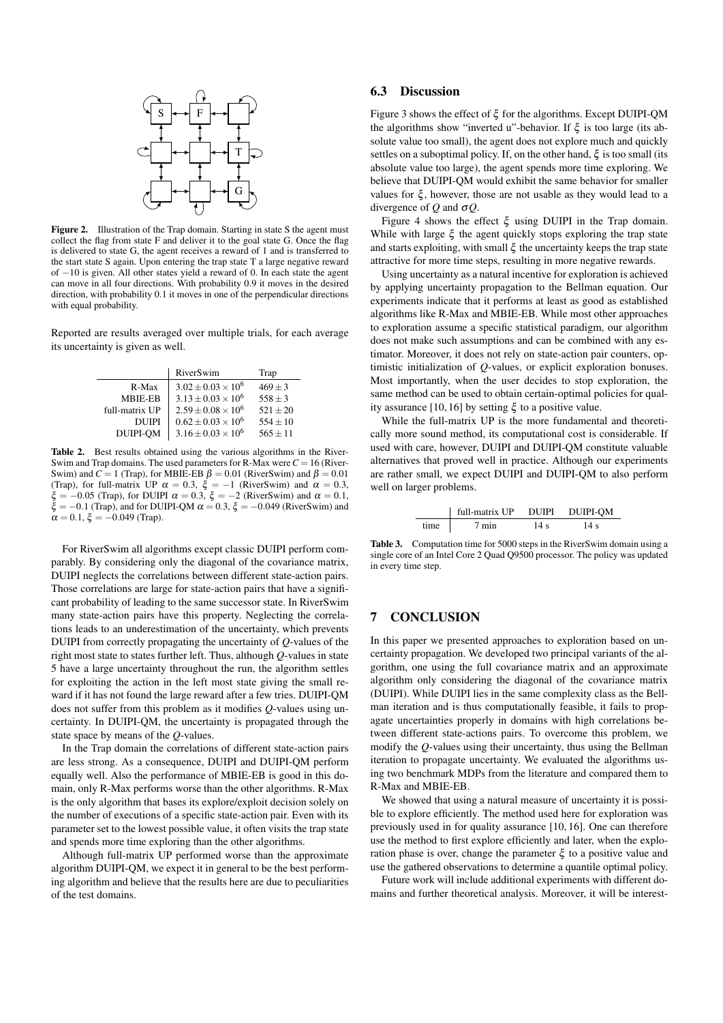

Figure 2. Illustration of the Trap domain. Starting in state S the agent must collect the flag from state F and deliver it to the goal state G. Once the flag is delivered to state G, the agent receives a reward of 1 and is transferred to the start state S again. Upon entering the trap state T a large negative reward of −10 is given. All other states yield a reward of 0. In each state the agent can move in all four directions. With probability 0.9 it moves in the desired direction, with probability 0.1 it moves in one of the perpendicular directions with equal probability.

Reported are results averaged over multiple trials, for each average its uncertainty is given as well.

|                 | RiverSwim                   | Trap        |
|-----------------|-----------------------------|-------------|
| $R-Max$         | $3.02 \pm 0.03 \times 10^6$ | $469 + 3$   |
| <b>MBIE-EB</b>  | $3.13 \pm 0.03 \times 10^6$ | $558 \pm 3$ |
| full-matrix UP  | $2.59 \pm 0.08 \times 10^6$ | $521 + 20$  |
| <b>DUIPI</b>    | $0.62 \pm 0.03 \times 10^6$ | $554 + 10$  |
| <b>DUIPI-OM</b> | $3.16 \pm 0.03 \times 10^6$ | $565 + 11$  |

Table 2. Best results obtained using the various algorithms in the River-Swim and Trap domains. The used parameters for R-Max were  $C = 16$  (River-Swim) and  $\mathcal{C} = 1$  (Trap), for MBIE-EB  $\beta = 0.01$  (RiverSwim) and  $\beta = 0.01$ (Trap), for full-matrix UP  $\alpha = 0.3$ ,  $\xi = -1$  (RiverSwim) and  $\alpha = 0.3$ ,  $\xi = -0.05$  (Trap), for DUIPI  $\alpha = 0.3$ ,  $\xi = -2$  (RiverSwim) and  $\alpha = 0.1$ ,  $\xi = -0.1$  (Trap), and for DUIPI-QM  $\alpha = 0.3$ ,  $\xi = -0.049$  (RiverSwim) and  $\alpha = 0.1, \xi = -0.049$  (Trap).

For RiverSwim all algorithms except classic DUIPI perform comparably. By considering only the diagonal of the covariance matrix, DUIPI neglects the correlations between different state-action pairs. Those correlations are large for state-action pairs that have a significant probability of leading to the same successor state. In RiverSwim many state-action pairs have this property. Neglecting the correlations leads to an underestimation of the uncertainty, which prevents DUIPI from correctly propagating the uncertainty of *Q*-values of the right most state to states further left. Thus, although *Q*-values in state 5 have a large uncertainty throughout the run, the algorithm settles for exploiting the action in the left most state giving the small reward if it has not found the large reward after a few tries. DUIPI-QM does not suffer from this problem as it modifies *Q*-values using uncertainty. In DUIPI-QM, the uncertainty is propagated through the state space by means of the *Q*-values.

In the Trap domain the correlations of different state-action pairs are less strong. As a consequence, DUIPI and DUIPI-QM perform equally well. Also the performance of MBIE-EB is good in this domain, only R-Max performs worse than the other algorithms. R-Max is the only algorithm that bases its explore/exploit decision solely on the number of executions of a specific state-action pair. Even with its parameter set to the lowest possible value, it often visits the trap state and spends more time exploring than the other algorithms.

Although full-matrix UP performed worse than the approximate algorithm DUIPI-QM, we expect it in general to be the best performing algorithm and believe that the results here are due to peculiarities of the test domains.

#### 6.3 Discussion

Figure 3 shows the effect of ξ for the algorithms. Except DUIPI-QM the algorithms show "inverted u"-behavior. If  $\xi$  is too large (its absolute value too small), the agent does not explore much and quickly settles on a suboptimal policy. If, on the other hand,  $\xi$  is too small (its absolute value too large), the agent spends more time exploring. We believe that DUIPI-QM would exhibit the same behavior for smaller values for  $\xi$ , however, those are not usable as they would lead to a divergence of *Q* and σ*Q*.

Figure 4 shows the effect  $\xi$  using DUIPI in the Trap domain. While with large ξ the agent quickly stops exploring the trap state and starts exploiting, with small  $\xi$  the uncertainty keeps the trap state attractive for more time steps, resulting in more negative rewards.

Using uncertainty as a natural incentive for exploration is achieved by applying uncertainty propagation to the Bellman equation. Our experiments indicate that it performs at least as good as established algorithms like R-Max and MBIE-EB. While most other approaches to exploration assume a specific statistical paradigm, our algorithm does not make such assumptions and can be combined with any estimator. Moreover, it does not rely on state-action pair counters, optimistic initialization of *Q*-values, or explicit exploration bonuses. Most importantly, when the user decides to stop exploration, the same method can be used to obtain certain-optimal policies for quality assurance [10, 16] by setting  $\xi$  to a positive value.

While the full-matrix UP is the more fundamental and theoretically more sound method, its computational cost is considerable. If used with care, however, DUIPI and DUIPI-QM constitute valuable alternatives that proved well in practice. Although our experiments are rather small, we expect DUIPI and DUIPI-QM to also perform well on larger problems.

|        | <sup>1</sup> full-matrix UP |      | DUIPI DUIPI-OM |
|--------|-----------------------------|------|----------------|
| time i | 7 min                       | 14 s | 14 s           |

Table 3. Computation time for 5000 steps in the RiverSwim domain using a single core of an Intel Core 2 Quad Q9500 processor. The policy was updated in every time step.

## 7 CONCLUSION

In this paper we presented approaches to exploration based on uncertainty propagation. We developed two principal variants of the algorithm, one using the full covariance matrix and an approximate algorithm only considering the diagonal of the covariance matrix (DUIPI). While DUIPI lies in the same complexity class as the Bellman iteration and is thus computationally feasible, it fails to propagate uncertainties properly in domains with high correlations between different state-actions pairs. To overcome this problem, we modify the *Q*-values using their uncertainty, thus using the Bellman iteration to propagate uncertainty. We evaluated the algorithms using two benchmark MDPs from the literature and compared them to R-Max and MBIE-EB.

We showed that using a natural measure of uncertainty it is possible to explore efficiently. The method used here for exploration was previously used in for quality assurance [10, 16]. One can therefore use the method to first explore efficiently and later, when the exploration phase is over, change the parameter  $\xi$  to a positive value and use the gathered observations to determine a quantile optimal policy.

Future work will include additional experiments with different domains and further theoretical analysis. Moreover, it will be interest-